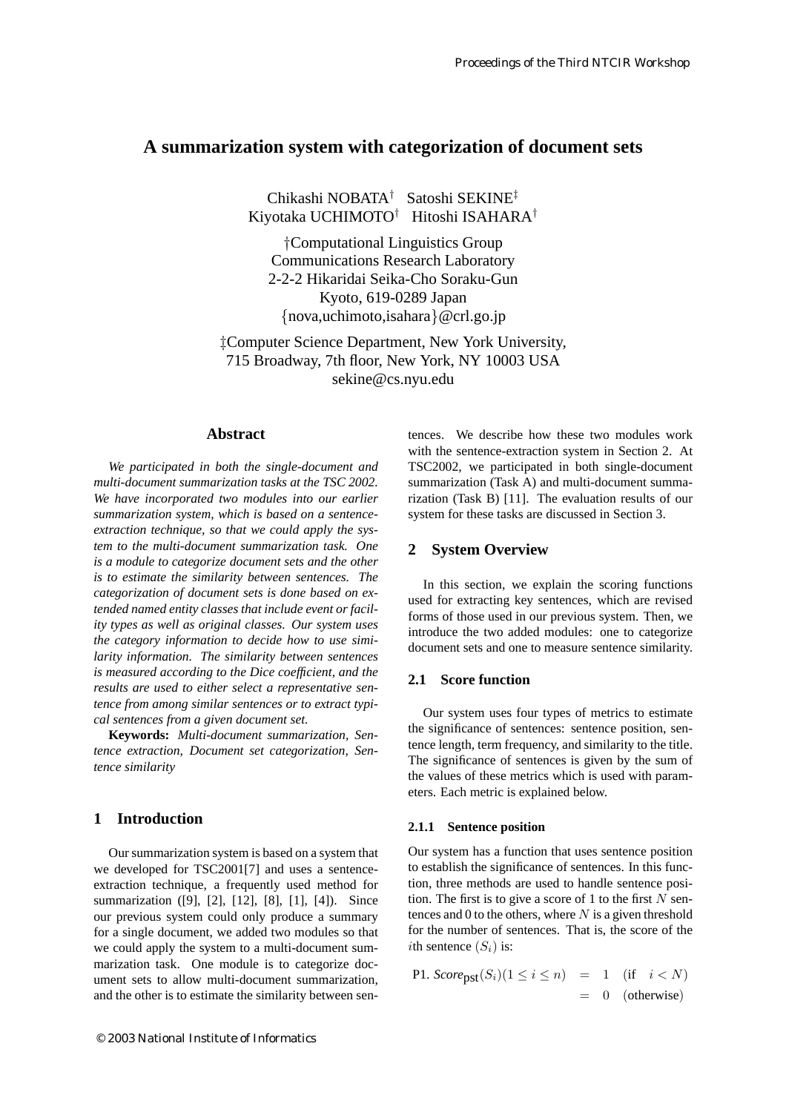# **A summarization system with categorization of document sets**

Chikashi NOBATA† Satoshi SEKINE‡ Kiyotaka UCHIMOTO† Hitoshi ISAHARA†

†Computational Linguistics Group Communications Research Laboratory 2-2-2 Hikaridai Seika-Cho Soraku-Gun Kyoto, 619-0289 Japan {nova,uchimoto,isahara}@crl.go.jp

‡Computer Science Department, New York University, 715 Broadway, 7th floor, New York, NY 10003 USA sekine@cs.nyu.edu

## **Abstract**

*We participated in both the single-document and multi-document summarization tasks at the TSC 2002. We have incorporated two modules into our earlier summarization system, which is based on a sentenceextraction technique, so that we could apply the system to the multi-document summarization task. One is a module to categorize document sets and the other is to estimate the similarity between sentences. The categorization of document sets is done based on extended named entity classes that include event or facility types as well as original classes. Our system uses the category information to decide how to use similarity information. The similarity between sentences is measured according to the Dice coefficient, and the results are used to either select a representative sentence from among similar sentences or to extract typical sentences from a given document set.*

**Keywords:** *Multi-document summarization, Sentence extraction, Document set categorization, Sentence similarity*

## **1 Introduction**

Our summarization system is based on a system that we developed for TSC2001[7] and uses a sentenceextraction technique, a frequently used method for summarization ([9], [2], [12], [8], [1], [4]). Since our previous system could only produce a summary for a single document, we added two modules so that we could apply the system to a multi-document summarization task. One module is to categorize document sets to allow multi-document summarization, and the other is to estimate the similarity between sentences. We describe how these two modules work with the sentence-extraction system in Section 2. At TSC2002, we participated in both single-document summarization (Task A) and multi-document summarization (Task B) [11]. The evaluation results of our system for these tasks are discussed in Section 3.

## **2 System Overview**

In this section, we explain the scoring functions used for extracting key sentences, which are revised forms of those used in our previous system. Then, we introduce the two added modules: one to categorize document sets and one to measure sentence similarity.

## **2.1 Score function**

Our system uses four types of metrics to estimate the significance of sentences: sentence position, sentence length, term frequency, and similarity to the title. The significance of sentences is given by the sum of the values of these metrics which is used with parameters. Each metric is explained below.

### **2.1.1 Sentence position**

Our system has a function that uses sentence position to establish the significance of sentences. In this function, three methods are used to handle sentence position. The first is to give a score of 1 to the first  $N$  sentences and 0 to the others, where  $N$  is a given threshold for the number of sentences. That is, the score of the *i*th sentence  $(S_i)$  is:

P1. 
$$
Score_{\text{pst}}(S_i)(1 \le i \le n) = 1
$$
 (if  $i < N$ )  
= 0 (otherwise)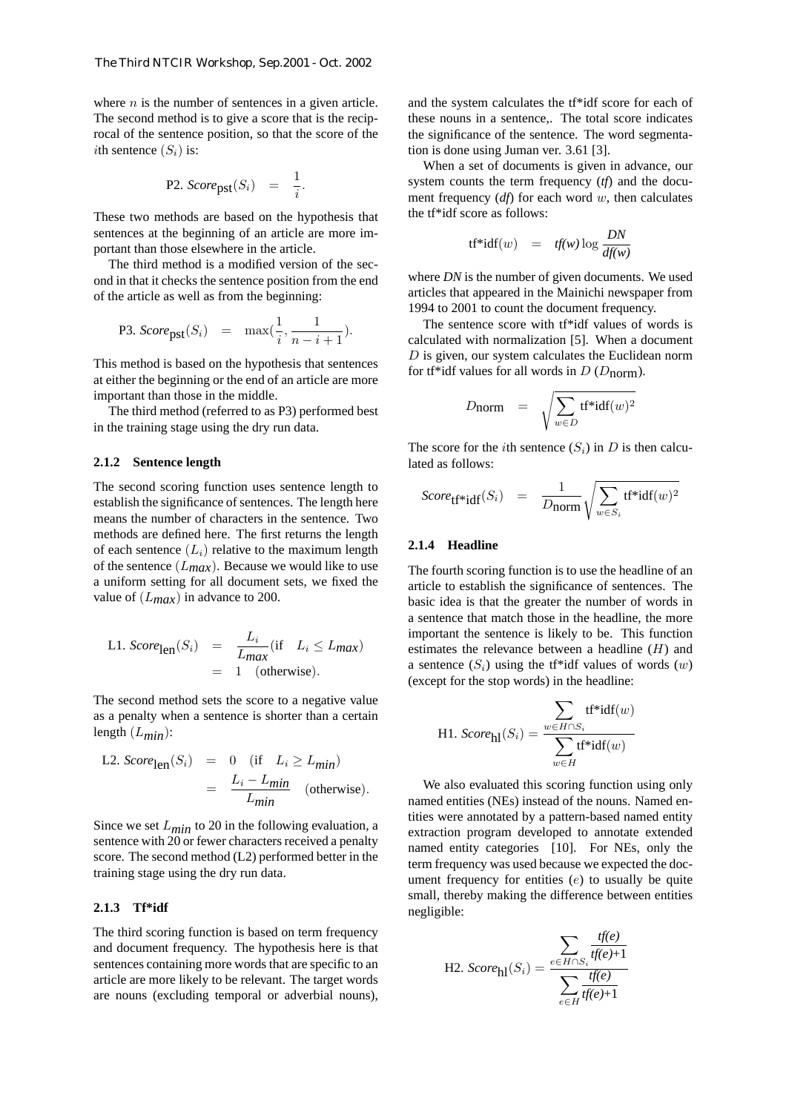where  $n$  is the number of sentences in a given article. The second method is to give a score that is the reciprocal of the sentence position, so that the score of the *i*th sentence  $(S_i)$  is:

P2. 
$$
Score_{\text{pst}}(S_i) = \frac{1}{i}
$$
.

These two methods are based on the hypothesis that sentences at the beginning of an article are more important than those elsewhere in the article.

The third method is a modified version of the second in that it checks the sentence position from the end of the article as well as from the beginning:

P3. 
$$
Score_{\text{pst}}(S_i) = \max(\frac{1}{i}, \frac{1}{n-i+1}).
$$

This method is based on the hypothesis that sentences at either the beginning or the end of an article are more important than those in the middle.

The third method (referred to as P3) performed best in the training stage using the dry run data.

#### **2.1.2 Sentence length**

The second scoring function uses sentence length to establish the significance of sentences. The length here means the number of characters in the sentence. Two methods are defined here. The first returns the length of each sentence  $(L_i)$  relative to the maximum length of the sentence  $(L_{max})$ . Because we would like to use a uniform setting for all document sets, we fixed the value of (L*max*) in advance to 200.

L1. 
$$
Score_{\text{len}}(S_i) = \frac{L_i}{L_{max}} (\text{if } L_i \le L_{max})
$$
  
= 1 (otherwise).

The second method sets the score to a negative value as a penalty when a sentence is shorter than a certain length (L*min*):

L2. 
$$
Score_{\text{len}}(S_i) = 0
$$
 (if  $L_i \ge L_{min}$ )  
=  $\frac{L_i - L_{min}}{L_{min}}$  (otherwise).

Since we set  $L_{min}$  to 20 in the following evaluation, a sentence with 20 or fewer characters received a penalty score. The second method (L2) performed better in the training stage using the dry run data.

#### **2.1.3 Tf\*idf**

The third scoring function is based on term frequency and document frequency. The hypothesis here is that sentences containing more words that are specific to an article are more likely to be relevant. The target words are nouns (excluding temporal or adverbial nouns), and the system calculates the tf\*idf score for each of these nouns in a sentence,. The total score indicates the significance of the sentence. The word segmentation is done using Juman ver. 3.61 [3].

When a set of documents is given in advance, our system counts the term frequency (*tf*) and the document frequency (*df*) for each word w, then calculates the tf\*idf score as follows:

$$
tf^*idf(w) = tf(w) \log \frac{DN}{df(w)}
$$

where *DN* is the number of given documents. We used articles that appeared in the Mainichi newspaper from 1994 to 2001 to count the document frequency.

The sentence score with tf\*idf values of words is calculated with normalization [5]. When a document  $D$  is given, our system calculates the Euclidean norm for tf\*idf values for all words in  $D(D_{norm})$ .

$$
D_{\text{norm}} = \sqrt{\sum_{w \in D} \text{tf*} \text{idf}(w)^2}
$$

The score for the *i*th sentence  $(S_i)$  in D is then calculated as follows:

$$
Score_{\mathbf{tf}^* \mathbf{idf}}(S_i) = \frac{1}{D_{\mathbf{norm}}} \sqrt{\sum_{w \in S_i} \mathbf{tf}^* \mathbf{idf}(w)^2}
$$

### **2.1.4 Headline**

The fourth scoring function is to use the headline of an article to establish the significance of sentences. The basic idea is that the greater the number of words in a sentence that match those in the headline, the more important the sentence is likely to be. This function estimates the relevance between a headline  $(H)$  and a sentence  $(S_i)$  using the tr<sup>\*</sup>idf values of words  $(w)$ (except for the stop words) in the headline:

H1. 
$$
Score_{\text{hl}}(S_i) = \frac{\sum_{w \in H \cap S_i} \text{tf*idf}(w)}{\sum_{w \in H} \text{tf*idf}(w)}
$$

We also evaluated this scoring function using only named entities (NEs) instead of the nouns. Named entities were annotated by a pattern-based named entity extraction program developed to annotate extended named entity categories [10]. For NEs, only the term frequency was used because we expected the document frequency for entities  $(e)$  to usually be quite small, thereby making the difference between entities negligible:

H2. 
$$
Score_{\text{hl}}(S_i) = \frac{\sum_{e \in H \cap S_i} \frac{tf(e)}{tf(e)+1}}{\sum_{e \in H} \frac{tf(e)}{tf(e)+1}}
$$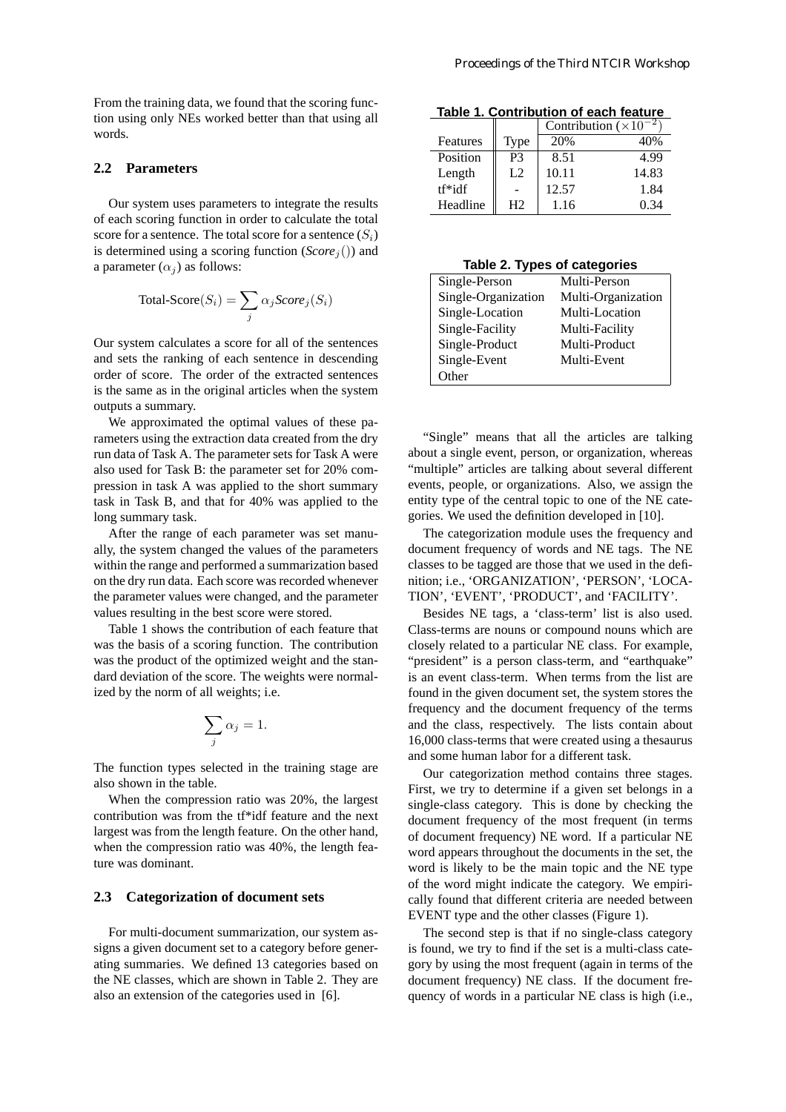From the training data, we found that the scoring function using only NEs worked better than that using all words.

# **2.2 Parameters**

Our system uses parameters to integrate the results of each scoring function in order to calculate the total score for a sentence. The total score for a sentence  $(S_i)$ is determined using a scoring function  $(Score<sub>j</sub>())$  and a parameter  $(\alpha_i)$  as follows:

$$
Total\text{-}Score(S_i) = \sum_j \alpha_j Score_j(S_i)
$$

Our system calculates a score for all of the sentences and sets the ranking of each sentence in descending order of score. The order of the extracted sentences is the same as in the original articles when the system outputs a summary.

We approximated the optimal values of these parameters using the extraction data created from the dry run data of Task A. The parameter sets for Task A were also used for Task B: the parameter set for 20% compression in task A was applied to the short summary task in Task B, and that for 40% was applied to the long summary task.

After the range of each parameter was set manually, the system changed the values of the parameters within the range and performed a summarization based on the dry run data. Each score was recorded whenever the parameter values were changed, and the parameter values resulting in the best score were stored.

Table 1 shows the contribution of each feature that was the basis of a scoring function. The contribution was the product of the optimized weight and the standard deviation of the score. The weights were normalized by the norm of all weights; i.e.

$$
\sum_j \alpha_j = 1.
$$

The function types selected in the training stage are also shown in the table.

When the compression ratio was 20%, the largest contribution was from the tf\*idf feature and the next largest was from the length feature. On the other hand, when the compression ratio was 40%, the length feature was dominant.

#### **2.3 Categorization of document sets**

For multi-document summarization, our system assigns a given document set to a category before generating summaries. We defined 13 categories based on the NE classes, which are shown in Table 2. They are also an extension of the categories used in [6].

**Table 1. Contribution of each feature**

|          |             | Contribution $(\times 10^{-2})$ |       |  |
|----------|-------------|---------------------------------|-------|--|
| Features | <b>Type</b> | 20%                             | 40%   |  |
| Position | P3          | 8.51                            | 4.99  |  |
| Length   | L2          | 10.11                           | 14.83 |  |
| $tf*idf$ |             | 12.57                           | 1.84  |  |
| Headline | H2          | 1.16                            | 0.34  |  |

#### **Table 2. Types of categories**

| Multi-Person       |  |  |  |  |  |
|--------------------|--|--|--|--|--|
| Multi-Organization |  |  |  |  |  |
| Multi-Location     |  |  |  |  |  |
| Multi-Facility     |  |  |  |  |  |
| Multi-Product      |  |  |  |  |  |
| Multi-Event        |  |  |  |  |  |
|                    |  |  |  |  |  |
|                    |  |  |  |  |  |

"Single" means that all the articles are talking about a single event, person, or organization, whereas "multiple" articles are talking about several different events, people, or organizations. Also, we assign the entity type of the central topic to one of the NE categories. We used the definition developed in [10].

The categorization module uses the frequency and document frequency of words and NE tags. The NE classes to be tagged are those that we used in the definition; i.e., 'ORGANIZATION', 'PERSON', 'LOCA-TION', 'EVENT', 'PRODUCT', and 'FACILITY'.

Besides NE tags, a 'class-term' list is also used. Class-terms are nouns or compound nouns which are closely related to a particular NE class. For example, "president" is a person class-term, and "earthquake" is an event class-term. When terms from the list are found in the given document set, the system stores the frequency and the document frequency of the terms and the class, respectively. The lists contain about 16,000 class-terms that were created using a thesaurus and some human labor for a different task.

Our categorization method contains three stages. First, we try to determine if a given set belongs in a single-class category. This is done by checking the document frequency of the most frequent (in terms of document frequency) NE word. If a particular NE word appears throughout the documents in the set, the word is likely to be the main topic and the NE type of the word might indicate the category. We empirically found that different criteria are needed between EVENT type and the other classes (Figure 1).

The second step is that if no single-class category is found, we try to find if the set is a multi-class category by using the most frequent (again in terms of the document frequency) NE class. If the document frequency of words in a particular NE class is high (i.e.,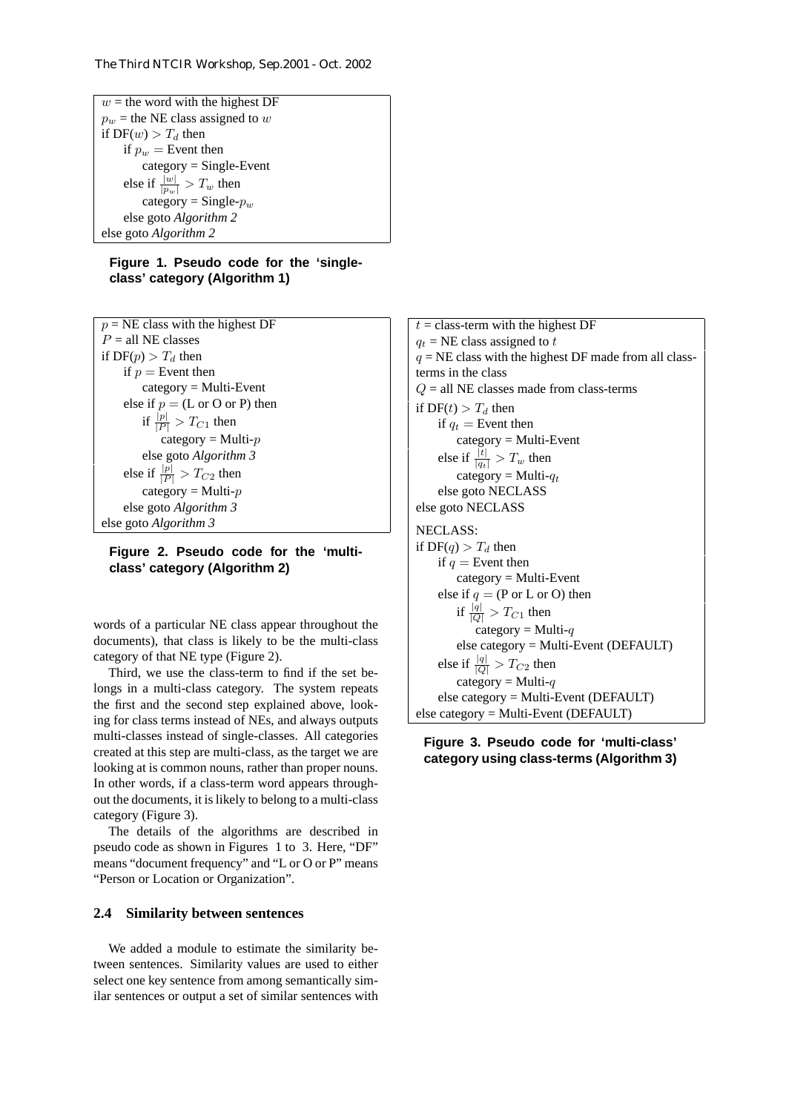$w =$  the word with the highest DF  $p_w$  = the NE class assigned to w if  $DF(w) > T_d$  then if  $p_w =$  Event then category = Single-Event else if  $\frac{|w|}{|p_w|} > T_w$  then category = Single- $p_w$ else goto *Algorithm 2* else goto *Algorithm 2*

## **Figure 1. Pseudo code for the 'singleclass' category (Algorithm 1)**

 $p = NE$  class with the highest DF  $P =$ all NE classes if  $DF(p) > T_d$  then if  $p =$  Event then category = Multi-Event else if  $p = (L \text{ or } O \text{ or } P)$  then if  $\frac{|p|}{|P|} > T_{C1}$  then category = Multi- $p$ else goto *Algorithm 3* else if  $\frac{|p|}{|P|} > T_{C2}$  then category = Multi- $p$ else goto *Algorithm 3* else goto *Algorithm 3*

**Figure 2. Pseudo code for the 'multiclass' category (Algorithm 2)**

words of a particular NE class appear throughout the documents), that class is likely to be the multi-class category of that NE type (Figure 2).

Third, we use the class-term to find if the set belongs in a multi-class category. The system repeats the first and the second step explained above, looking for class terms instead of NEs, and always outputs multi-classes instead of single-classes. All categories created at this step are multi-class, as the target we are looking at is common nouns, rather than proper nouns. In other words, if a class-term word appears throughout the documents, it is likely to belong to a multi-class category (Figure 3).

The details of the algorithms are described in pseudo code as shown in Figures 1 to 3. Here, "DF" means "document frequency" and "L or O or P" means "Person or Location or Organization".

## **2.4 Similarity between sentences**

We added a module to estimate the similarity between sentences. Similarity values are used to either select one key sentence from among semantically similar sentences or output a set of similar sentences with  $t =$  class-term with the highest DF  $q_t$  = NE class assigned to t  $q = NE$  class with the highest DF made from all classterms in the class  $Q =$  all NE classes made from class-terms if  $DF(t) > T_d$  then if  $q_t$  = Event then category = Multi-Event else if  $\frac{|t|}{|q_t|} > T_w$  then category = Multi- $q_t$ else goto NECLASS else goto NECLASS NECLASS: if  $DF(q) > T_d$  then if  $q =$  Event then category = Multi-Event else if  $q = (P \text{ or } L \text{ or } O)$  then if  $\frac{|q|}{|Q|} > T_{C1}$  then category = Multi- $q$ else category = Multi-Event (DEFAULT) else if  $\frac{|q|}{|Q|} > T_{C2}$  then category = Multi- $q$ else category = Multi-Event (DEFAULT) else category = Multi-Event (DEFAULT)

**Figure 3. Pseudo code for 'multi-class' category using class-terms (Algorithm 3)**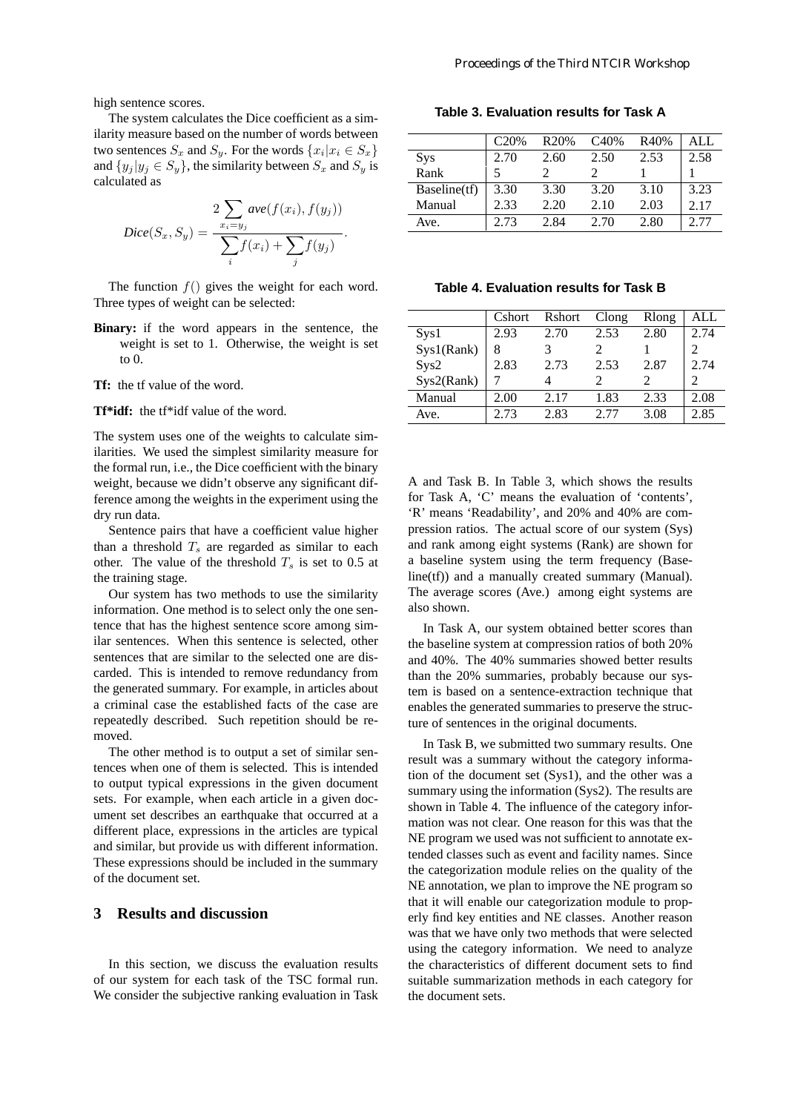high sentence scores.

The system calculates the Dice coefficient as a similarity measure based on the number of words between two sentences  $S_x$  and  $S_y$ . For the words  $\{x_i | x_i \in S_x\}$ and  $\{y_j | y_j \in S_y\}$ , the similarity between  $S_x$  and  $S_y$  is calculated as

$$
Dice(S_x, S_y) = \frac{2 \sum_{x_i = y_j} ave(f(x_i), f(y_j))}{\sum_i f(x_i) + \sum_j f(y_j)}.
$$

The function  $f()$  gives the weight for each word. Three types of weight can be selected:

**Binary:** if the word appears in the sentence, the weight is set to 1. Otherwise, the weight is set to 0.

**Tf:** the tf value of the word.

**Tf\*idf:** the tf\*idf value of the word.

The system uses one of the weights to calculate similarities. We used the simplest similarity measure for the formal run, i.e., the Dice coefficient with the binary weight, because we didn't observe any significant difference among the weights in the experiment using the dry run data.

Sentence pairs that have a coefficient value higher than a threshold  $T_s$  are regarded as similar to each other. The value of the threshold  $T_s$  is set to 0.5 at the training stage.

Our system has two methods to use the similarity information. One method is to select only the one sentence that has the highest sentence score among similar sentences. When this sentence is selected, other sentences that are similar to the selected one are discarded. This is intended to remove redundancy from the generated summary. For example, in articles about a criminal case the established facts of the case are repeatedly described. Such repetition should be removed.

The other method is to output a set of similar sentences when one of them is selected. This is intended to output typical expressions in the given document sets. For example, when each article in a given document set describes an earthquake that occurred at a different place, expressions in the articles are typical and similar, but provide us with different information. These expressions should be included in the summary of the document set.

# **3 Results and discussion**

In this section, we discuss the evaluation results of our system for each task of the TSC formal run. We consider the subjective ranking evaluation in Task

**Table 3. Evaluation results for Task A**

|              | C <sub>20%</sub> | R <sub>20%</sub> | C <sub>40</sub> % | R40% | ALL. |
|--------------|------------------|------------------|-------------------|------|------|
| <b>Sys</b>   | 2.70             | 2.60             | 2.50              | 2.53 | 2.58 |
| Rank         |                  |                  |                   |      |      |
| Baseline(tf) | 3.30             | 3.30             | 3.20              | 3.10 | 3.23 |
| Manual       | 2.33             | 2.20             | 2.10              | 2.03 | 2.17 |
| Ave.         | 2.73             | 2.84             | 2.70              | 2.80 | 2.77 |

**Table 4. Evaluation results for Task B**

|            | Cshort | Rshort | Clong | Rlong | ALL  |
|------------|--------|--------|-------|-------|------|
| Sys1       | 2.93   | 2.70   | 2.53  | 2.80  | 2.74 |
| Sys1(Rank) | 8      |        |       |       |      |
| Sys2       | 2.83   | 2.73   | 2.53  | 2.87  | 2.74 |
| Sys2(Rank) |        |        |       |       |      |
| Manual     | 2.00   | 2.17   | 1.83  | 2.33  | 2.08 |
| Ave.       | 2.73   | 2.83   | 2.77  | 3.08  | 2.85 |

A and Task B. In Table 3, which shows the results for Task A, 'C' means the evaluation of 'contents', 'R' means 'Readability', and 20% and 40% are compression ratios. The actual score of our system (Sys) and rank among eight systems (Rank) are shown for a baseline system using the term frequency (Baseline(tf)) and a manually created summary (Manual). The average scores (Ave.) among eight systems are also shown.

In Task A, our system obtained better scores than the baseline system at compression ratios of both 20% and 40%. The 40% summaries showed better results than the 20% summaries, probably because our system is based on a sentence-extraction technique that enables the generated summaries to preserve the structure of sentences in the original documents.

In Task B, we submitted two summary results. One result was a summary without the category information of the document set (Sys1), and the other was a summary using the information (Sys2). The results are shown in Table 4. The influence of the category information was not clear. One reason for this was that the NE program we used was not sufficient to annotate extended classes such as event and facility names. Since the categorization module relies on the quality of the NE annotation, we plan to improve the NE program so that it will enable our categorization module to properly find key entities and NE classes. Another reason was that we have only two methods that were selected using the category information. We need to analyze the characteristics of different document sets to find suitable summarization methods in each category for the document sets.